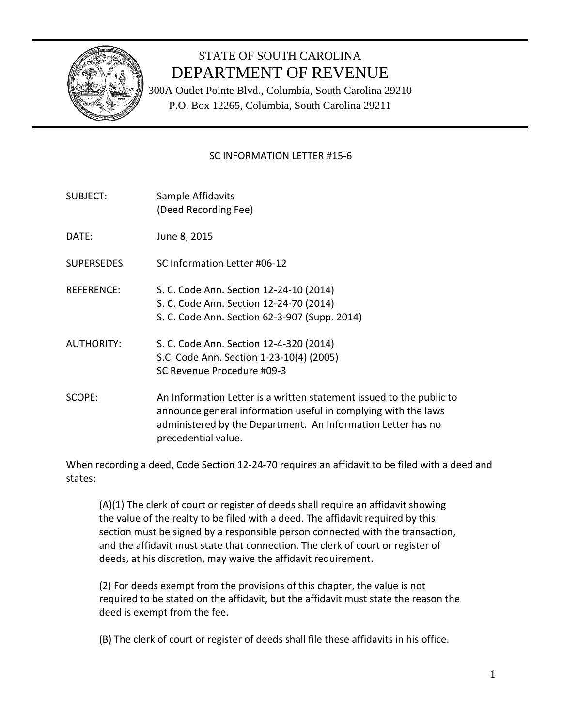

# STATE OF SOUTH CAROLINA DEPARTMENT OF REVENUE

300A Outlet Pointe Blvd., Columbia, South Carolina 29210 P.O. Box 12265, Columbia, South Carolina 29211

# SC INFORMATION LETTER #15-6

- SUBJECT: Sample Affidavits (Deed Recording Fee)
- DATE: June 8, 2015
- SUPERSEDES SC Information Letter #06-12
- REFERENCE: S. C. Code Ann. Section 12-24-10 (2014) S. C. Code Ann. Section 12-24-70 (2014)
	- S. C. Code Ann. Section 62-3-907 (Supp. 2014)
- AUTHORITY: S. C. Code Ann. Section 12-4-320 (2014) S.C. Code Ann. Section 1-23-10(4) (2005) SC Revenue Procedure #09-3
- SCOPE: An Information Letter is a written statement issued to the public to announce general information useful in complying with the laws administered by the Department. An Information Letter has no precedential value.

When recording a deed, Code Section 12-24-70 requires an affidavit to be filed with a deed and states:

(A)(1) The clerk of court or register of deeds shall require an affidavit showing the value of the realty to be filed with a deed. The affidavit required by this section must be signed by a responsible person connected with the transaction, and the affidavit must state that connection. The clerk of court or register of deeds, at his discretion, may waive the affidavit requirement.

(2) For deeds exempt from the provisions of this chapter, the value is not required to be stated on the affidavit, but the affidavit must state the reason the deed is exempt from the fee.

(B) The clerk of court or register of deeds shall file these affidavits in his office.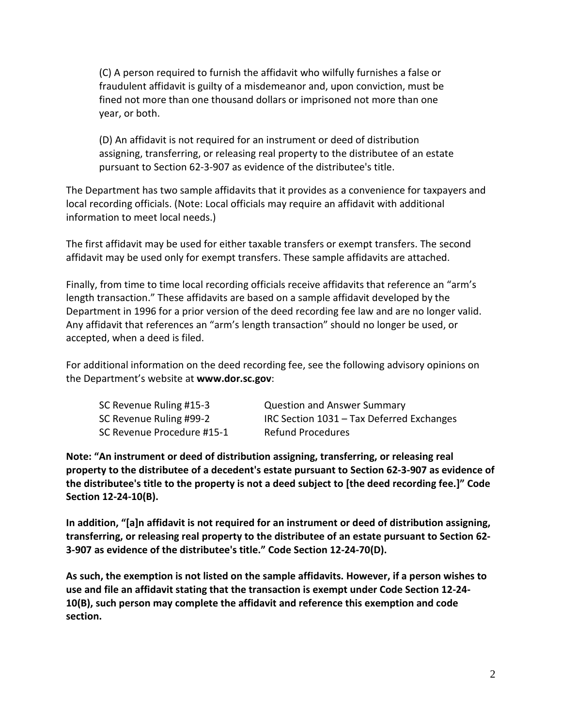(C) A person required to furnish the affidavit who wilfully furnishes a false or fraudulent affidavit is guilty of a misdemeanor and, upon conviction, must be fined not more than one thousand dollars or imprisoned not more than one year, or both.

(D) An affidavit is not required for an instrument or deed of distribution assigning, transferring, or releasing real property to the distributee of an estate pursuant to Section 62-3-907 as evidence of the distributee's title.

The Department has two sample affidavits that it provides as a convenience for taxpayers and local recording officials. (Note: Local officials may require an affidavit with additional information to meet local needs.)

The first affidavit may be used for either taxable transfers or exempt transfers. The second affidavit may be used only for exempt transfers. These sample affidavits are attached.

Finally, from time to time local recording officials receive affidavits that reference an "arm's length transaction." These affidavits are based on a sample affidavit developed by the Department in 1996 for a prior version of the deed recording fee law and are no longer valid. Any affidavit that references an "arm's length transaction" should no longer be used, or accepted, when a deed is filed.

For additional information on the deed recording fee, see the following advisory opinions on the Department's website at **www.dor.sc.gov**:

| SC Revenue Ruling #15-3    | <b>Question and Answer Summary</b>        |
|----------------------------|-------------------------------------------|
| SC Revenue Ruling #99-2    | IRC Section 1031 - Tax Deferred Exchanges |
| SC Revenue Procedure #15-1 | <b>Refund Procedures</b>                  |

**Note: "An instrument or deed of distribution assigning, transferring, or releasing real property to the distributee of a decedent's estate pursuant to Section 62-3-907 as evidence of the distributee's title to the property is not a deed subject to [the deed recording fee.]" Code Section 12-24-10(B).**

**In addition, "[a]n affidavit is not required for an instrument or deed of distribution assigning, transferring, or releasing real property to the distributee of an estate pursuant to Section 62- 3-907 as evidence of the distributee's title." Code Section 12-24-70(D).**

**As such, the exemption is not listed on the sample affidavits. However, if a person wishes to use and file an affidavit stating that the transaction is exempt under Code Section 12-24- 10(B), such person may complete the affidavit and reference this exemption and code section.**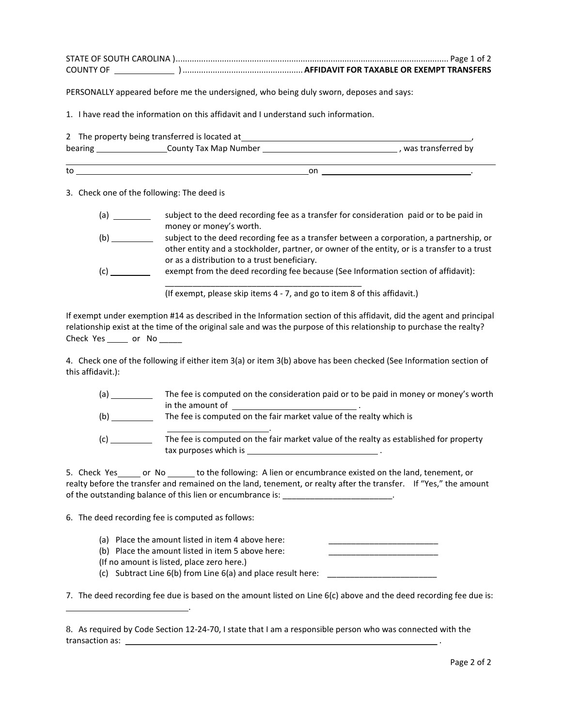| <b>COUNTY OF</b> |  |
|------------------|--|

PERSONALLY appeared before me the undersigned, who being duly sworn, deposes and says:

1. I have read the information on this affidavit and I understand such information.

|         | 2 The property being transferred is located at |    |                    |
|---------|------------------------------------------------|----|--------------------|
| bearing | County Tax Map Number                          |    | was transferred by |
| to      |                                                | on |                    |

3. Check one of the following: The deed is

- (a) \_\_\_\_\_\_\_\_\_\_ subject to the deed recording fee as a transfer for consideration paid or to be paid in money or money's worth.
- (b) \_\_\_\_\_\_\_\_\_\_ subject to the deed recording fee as a transfer between a corporation, a partnership, or other entity and a stockholder, partner, or owner of the entity, or is a transfer to a trust or as a distribution to a trust beneficiary.
- (c) \_\_\_\_\_\_\_\_\_\_ exempt from the deed recording fee because (See Information section of affidavit): \_\_\_\_\_\_\_\_\_\_\_\_\_\_\_\_\_\_\_\_\_\_\_\_\_\_\_\_\_\_\_\_\_\_\_\_\_\_\_\_\_\_\_

(If exempt, please skip items 4 - 7, and go to item 8 of this affidavit.)

If exempt under exemption #14 as described in the Information section of this affidavit, did the agent and principal relationship exist at the time of the original sale and was the purpose of this relationship to purchase the realty? Check Yes \_\_\_\_\_\_ or No

4. Check one of the following if either item 3(a) or item 3(b) above has been checked (See Information section of this affidavit.):

| (a) | The fee is computed on the consideration paid or to be paid in money or money's worth  |
|-----|----------------------------------------------------------------------------------------|
|     | in the amount of                                                                       |
| (b) | The fee is computed on the fair market value of the realty which is                    |
| (c) | The fee is computed on the fair market value of the realty as established for property |
|     | tax purposes which is                                                                  |

| 5. Check Yes                                               | or No | to the following: A lien or encumbrance existed on the land, tenement, or                                         |  |
|------------------------------------------------------------|-------|-------------------------------------------------------------------------------------------------------------------|--|
|                                                            |       | realty before the transfer and remained on the land, tenement, or realty after the transfer. If "Yes," the amount |  |
| of the outstanding balance of this lien or encumbrance is: |       |                                                                                                                   |  |

6. The deed recording fee is computed as follows:

.

- (a) Place the amount listed in item 4 above here:
- (b) Place the amount listed in item 5 above here:

(If no amount is listed, place zero here.)

(c) Subtract Line  $6(b)$  from Line  $6(a)$  and place result here:  $\Box$ 

7. The deed recording fee due is based on the amount listed on Line 6(c) above and the deed recording fee due is:

<sup>8.</sup> As required by Code Section 12-24-70, I state that I am a responsible person who was connected with the transaction as: **with the set of the set of the set of the set of the set of the set of the set of the set of the set of the set of the set of the set of the set of the set of the set of the set of the set of the set of th**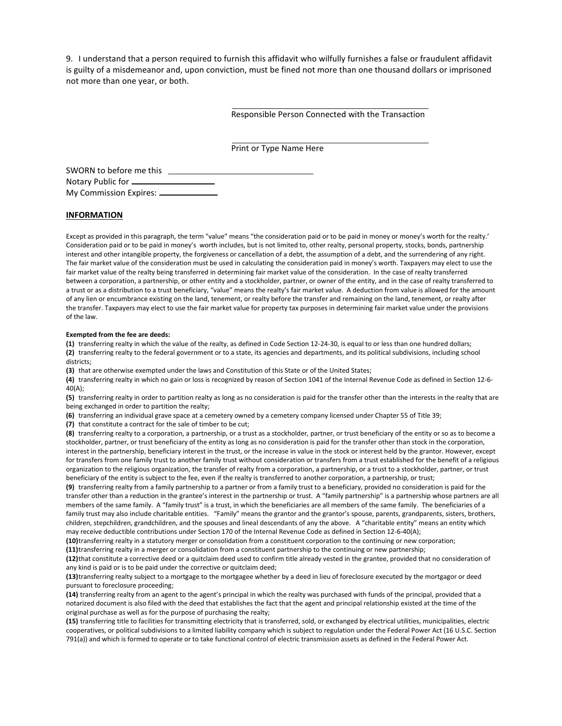9. I understand that a person required to furnish this affidavit who wilfully furnishes a false or fraudulent affidavit is guilty of a misdemeanor and, upon conviction, must be fined not more than one thousand dollars or imprisoned not more than one year, or both.

Responsible Person Connected with the Transaction

Print or Type Name Here

| SWORN to before me this     |  |
|-----------------------------|--|
| Notary Public for ____      |  |
| My Commission Expires: ____ |  |

### **INFORMATION**

Except as provided in this paragraph, the term "value" means "the consideration paid or to be paid in money or money's worth for the realty.' Consideration paid or to be paid in money's worth includes, but is not limited to, other realty, personal property, stocks, bonds, partnership interest and other intangible property, the forgiveness or cancellation of a debt, the assumption of a debt, and the surrendering of any right. The fair market value of the consideration must be used in calculating the consideration paid in money's worth. Taxpayers may elect to use the fair market value of the realty being transferred in determining fair market value of the consideration. In the case of realty transferred between a corporation, a partnership, or other entity and a stockholder, partner, or owner of the entity, and in the case of realty transferred to a trust or as a distribution to a trust beneficiary, "value" means the realty's fair market value. A deduction from value is allowed for the amount of any lien or encumbrance existing on the land, tenement, or realty before the transfer and remaining on the land, tenement, or realty after the transfer. Taxpayers may elect to use the fair market value for property tax purposes in determining fair market value under the provisions of the law.

#### **Exempted from the fee are deeds:**

**(1)** transferring realty in which the value of the realty, as defined in Code Section 12-24-30, is equal to or less than one hundred dollars; **(2)** transferring realty to the federal government or to a state, its agencies and departments, and its political subdivisions, including school districts;

**(3)** that are otherwise exempted under the laws and Constitution of this State or of the United States;

**(4)** transferring realty in which no gain or loss is recognized by reason of Section 1041 of the Internal Revenue Code as defined in Section 12-6- 40(A);

**(5)** transferring realty in order to partition realty as long as no consideration is paid for the transfer other than the interests in the realty that are being exchanged in order to partition the realty;

**(6)** transferring an individual grave space at a cemetery owned by a cemetery company licensed under Chapter 55 of Title 39;

**(7)** that constitute a contract for the sale of timber to be cut;

**(8)** transferring realty to a corporation, a partnership, or a trust as a stockholder, partner, or trust beneficiary of the entity or so as to become a stockholder, partner, or trust beneficiary of the entity as long as no consideration is paid for the transfer other than stock in the corporation, interest in the partnership, beneficiary interest in the trust, or the increase in value in the stock or interest held by the grantor. However, except for transfers from one family trust to another family trust without consideration or transfers from a trust established for the benefit of a religious organization to the religious organization, the transfer of realty from a corporation, a partnership, or a trust to a stockholder, partner, or trust beneficiary of the entity is subject to the fee, even if the realty is transferred to another corporation, a partnership, or trust;

**(9)** transferring realty from a family partnership to a partner or from a family trust to a beneficiary, provided no consideration is paid for the transfer other than a reduction in the grantee's interest in the partnership or trust. A "family partnership" is a partnership whose partners are all members of the same family. A "family trust" is a trust, in which the beneficiaries are all members of the same family. The beneficiaries of a family trust may also include charitable entities. "Family" means the grantor and the grantor's spouse, parents, grandparents, sisters, brothers, children, stepchildren, grandchildren, and the spouses and lineal descendants of any the above. A "charitable entity" means an entity which may receive deductible contributions under Section 170 of the Internal Revenue Code as defined in Section 12-6-40(A);

**(10)**transferring realty in a statutory merger or consolidation from a constituent corporation to the continuing or new corporation; **(11)**transferring realty in a merger or consolidation from a constituent partnership to the continuing or new partnership;

**(12)**that constitute a corrective deed or a quitclaim deed used to confirm title already vested in the grantee, provided that no consideration of any kind is paid or is to be paid under the corrective or quitclaim deed;

**(13)**transferring realty subject to a mortgage to the mortgagee whether by a deed in lieu of foreclosure executed by the mortgagor or deed pursuant to foreclosure proceeding;

**(14)** transferring realty from an agent to the agent's principal in which the realty was purchased with funds of the principal, provided that a notarized document is also filed with the deed that establishes the fact that the agent and principal relationship existed at the time of the original purchase as well as for the purpose of purchasing the realty;

**(15)** transferring title to facilities for transmitting electricity that is transferred, sold, or exchanged by electrical utilities, municipalities, electric cooperatives, or political subdivisions to a limited liability company which is subject to regulation under the Federal Power Act (16 U.S.C. Section 791(a)) and which is formed to operate or to take functional control of electric transmission assets as defined in the Federal Power Act.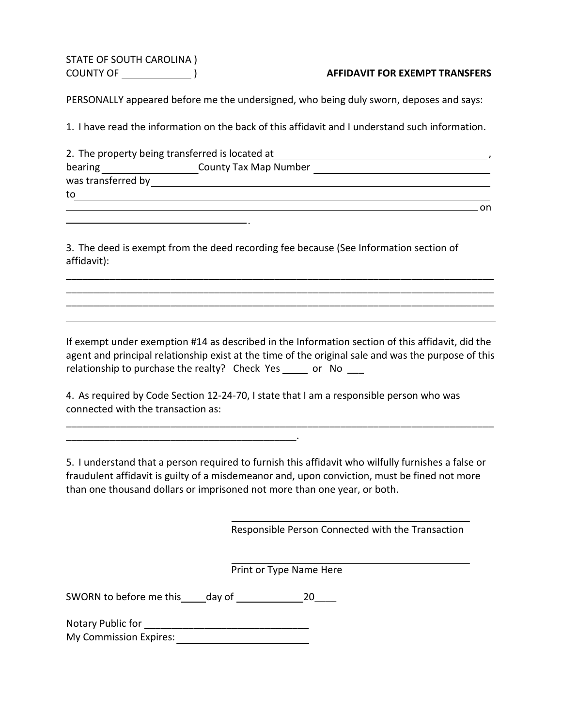STATE OF SOUTH CAROLINA )

# COUNTY OF ) **AFFIDAVIT FOR EXEMPT TRANSFERS**

PERSONALLY appeared before me the undersigned, who being duly sworn, deposes and says:

1. I have read the information on the back of this affidavit and I understand such information.

|                    | 2. The property being transferred is located at |    |
|--------------------|-------------------------------------------------|----|
| bearing            | <b>County Tax Map Number</b>                    |    |
| was transferred by |                                                 |    |
| to                 |                                                 |    |
|                    |                                                 | on |

3. The deed is exempt from the deed recording fee because (See Information section of affidavit):

.

If exempt under exemption #14 as described in the Information section of this affidavit, did the agent and principal relationship exist at the time of the original sale and was the purpose of this relationship to purchase the realty? Check Yes or No

\_\_\_\_\_\_\_\_\_\_\_\_\_\_\_\_\_\_\_\_\_\_\_\_\_\_\_\_\_\_\_\_\_\_\_\_\_\_\_\_\_\_\_\_\_\_\_\_\_\_\_\_\_\_\_\_\_\_\_\_\_\_\_\_\_\_\_\_\_\_\_\_\_\_\_\_\_\_ \_\_\_\_\_\_\_\_\_\_\_\_\_\_\_\_\_\_\_\_\_\_\_\_\_\_\_\_\_\_\_\_\_\_\_\_\_\_\_\_\_\_\_\_\_\_\_\_\_\_\_\_\_\_\_\_\_\_\_\_\_\_\_\_\_\_\_\_\_\_\_\_\_\_\_\_\_\_ \_\_\_\_\_\_\_\_\_\_\_\_\_\_\_\_\_\_\_\_\_\_\_\_\_\_\_\_\_\_\_\_\_\_\_\_\_\_\_\_\_\_\_\_\_\_\_\_\_\_\_\_\_\_\_\_\_\_\_\_\_\_\_\_\_\_\_\_\_\_\_\_\_\_\_\_\_\_

4. As required by Code Section 12-24-70, I state that I am a responsible person who was connected with the transaction as:

5. I understand that a person required to furnish this affidavit who wilfully furnishes a false or fraudulent affidavit is guilty of a misdemeanor and, upon conviction, must be fined not more than one thousand dollars or imprisoned not more than one year, or both.

\_\_\_\_\_\_\_\_\_\_\_\_\_\_\_\_\_\_\_\_\_\_\_\_\_\_\_\_\_\_\_\_\_\_\_\_\_\_\_\_\_\_\_\_\_\_\_\_\_\_\_\_\_\_\_\_\_\_\_\_\_\_\_\_\_\_\_\_\_\_\_\_\_\_\_\_\_\_

Responsible Person Connected with the Transaction

Print or Type Name Here

SWORN to before me this day of 20

\_\_\_\_\_\_\_\_\_\_\_\_\_\_\_\_\_\_\_\_\_\_\_\_\_\_\_\_\_\_\_\_\_\_\_\_\_\_\_\_\_\_.

Notary Public for \_\_\_\_\_\_\_\_\_\_\_\_\_\_\_\_\_\_\_\_\_\_\_\_\_\_\_\_\_\_ My Commission Expires: 1988 My Commission Expires: